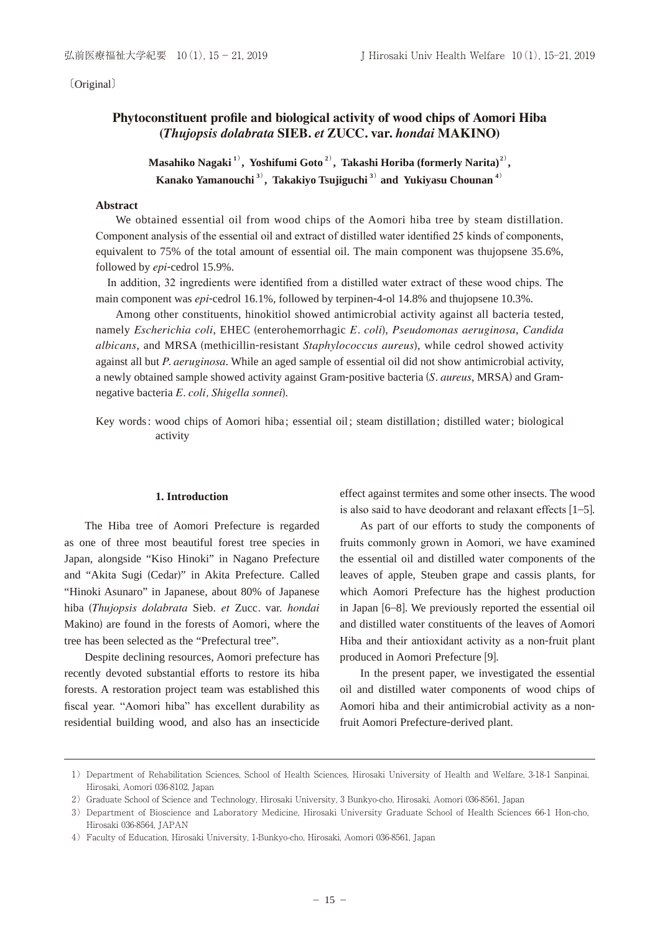〔Original〕

# Phytoconstituent profile and biological activity of wood chips of Aomori Hiba *(Thujopsis dolabrata SIEB. et ZUCC. var. hondai* MAKINO)

**Masahiko Nagaki 1**) **, Yoshifumi Goto 2**) **, Takashi Horiba (formerly Narita)<sup>2</sup>**) **, Kanako Yamanouchi 3**) **, Takakiyo Tsujiguchi 3**)  **and Yukiyasu Chounan 4**)

#### **Abstract**

We obtained essential oil from wood chips of the Aomori hiba tree by steam distillation. Component analysis of the essential oil and extract of distilled water identified 25 kinds of components, equivalent to 75% of the total amount of essential oil. The main component was thujopsene 35.6%, followed by *epi*-cedrol 15.9%.

In addition, 32 ingredients were identified from a distilled water extract of these wood chips. The main component was *epi*-cedrol 16.1%, followed by terpinen-4-ol 14.8% and thujopsene 10.3%.

Among other constituents, hinokitiol showed antimicrobial activity against all bacteria tested, namely *Escherichia coli*, EHEC (enterohemorrhagic *E. coli*), *Pseudomonas aeruginosa*, *Candida albicans*, and MRSA (methicillin-resistant *Staphylococcus aureus*), while cedrol showed activity against all but *P. aeruginosa*. While an aged sample of essential oil did not show antimicrobial activity, a newly obtained sample showed activity against Gram-positive bacteria (*S. aureus*, MRSA) and Gramnegative bacteria *E. coli, Shigella sonnei*).

Key words : wood chips of Aomori hiba ; essential oil ; steam distillation ; distilled water ; biological activity

#### **1. Introduction**

The Hiba tree of Aomori Prefecture is regarded as one of three most beautiful forest tree species in Japan, alongside "Kiso Hinoki" in Nagano Prefecture and "Akita Sugi (Cedar)" in Akita Prefecture. Called "Hinoki Asunaro" in Japanese, about 80% of Japanese hiba (*Thujopsis dolabrata* Sieb. *et* Zucc*.* var. *hondai* Makino) are found in the forests of Aomori, where the tree has been selected as the "Prefectural tree".

Despite declining resources, Aomori prefecture has recently devoted substantial efforts to restore its hiba forests. A restoration project team was established this fiscal year. "Aomori hiba" has excellent durability as residential building wood, and also has an insecticide effect against termites and some other insects. The wood is also said to have deodorant and relaxant effects  $[1-5]$ .

As part of our efforts to study the components of fruits commonly grown in Aomori, we have examined the essential oil and distilled water components of the leaves of apple, Steuben grape and cassis plants, for which Aomori Prefecture has the highest production in Japan [6–8]. We previously reported the essential oil and distilled water constituents of the leaves of Aomori Hiba and their antioxidant activity as a non-fruit plant produced in Aomori Prefecture [9].

In the present paper, we investigated the essential oil and distilled water components of wood chips of Aomori hiba and their antimicrobial activity as a nonfruit Aomori Prefecture-derived plant.

<sup>1)</sup> Department of Rehabilitation Sciences, School of Health Sciences, Hirosaki University of Health and Welfare, 3-18-1 Sanpinai, Hirosaki, Aomori 036-8102, Japan

<sup>2)</sup> Graduate School of Science and Technology, Hirosaki University, 3 Bunkyo-cho, Hirosaki, Aomori 036-8561, Japan

<sup>3)</sup> Department of Bioscience and Laboratory Medicine, Hirosaki University Graduate School of Health Sciences 66-1 Hon-cho, Hirosaki 036-8564, JAPAN

<sup>4)</sup> Faculty of Education, Hirosaki University, 1-Bunkyo-cho, Hirosaki, Aomori 036-8561, Japan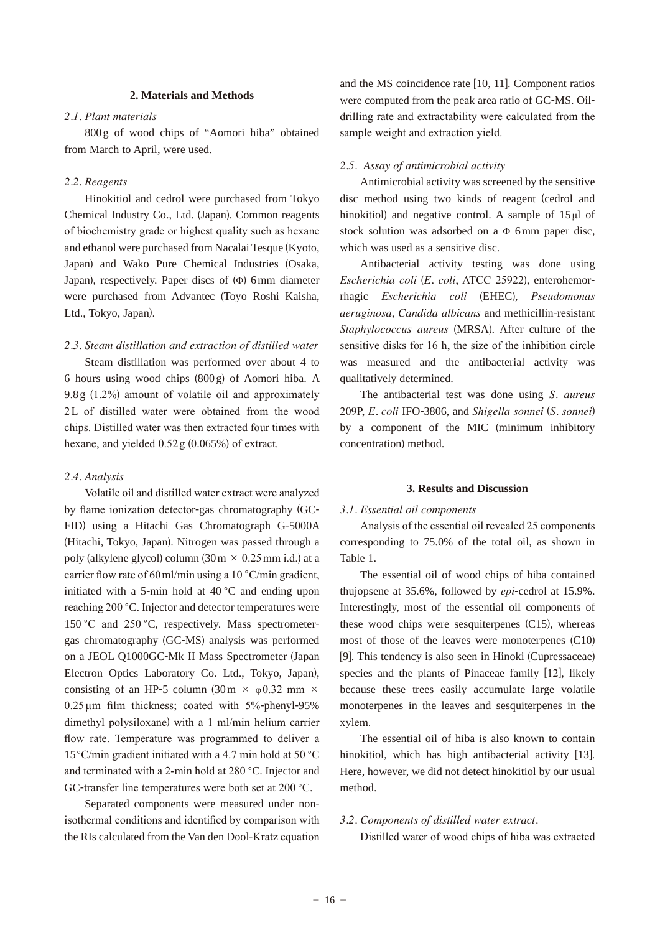#### **2. Materials and Methods**

# *2.1. Plant materials*

800 g of wood chips of "Aomori hiba" obtained from March to April, were used.

#### *2.2. Reagents*

Hinokitiol and cedrol were purchased from Tokyo Chemical Industry Co., Ltd. (Japan). Common reagents of biochemistry grade or highest quality such as hexane and ethanol were purchased from Nacalai Tesque (Kyoto, Japan) and Wako Pure Chemical Industries (Osaka, Japan), respectively. Paper discs of  $(\Phi)$  6 mm diameter were purchased from Advantec (Toyo Roshi Kaisha, Ltd., Tokyo, Japan).

# *2.3. Steam distillation and extraction of distilled water*

Steam distillation was performed over about 4 to 6 hours using wood chips (800 g) of Aomori hiba. A  $9.8 g$  (1.2%) amount of volatile oil and approximately 2L of distilled water were obtained from the wood chips. Distilled water was then extracted four times with hexane, and yielded  $0.52$  g  $(0.065\%)$  of extract.

#### *2.4. Analysis*

Volatile oil and distilled water extract were analyzed by flame ionization detector-gas chromatography (GC-FID) using a Hitachi Gas Chromatograph G-5000A (Hitachi, Tokyo, Japan). Nitrogen was passed through a poly (alkylene glycol) column  $(30 \text{ m} \times 0.25 \text{ mm} \text{ i.d.})$  at a carrier flow rate of 60 ml/min using a 10  $^{\circ}$ C/min gradient, initiated with a 5-min hold at 40 °C and ending upon reaching 200 °C. Injector and detector temperatures were 150 °C and 250 °C, respectively. Mass spectrometergas chromatography (GC-MS) analysis was performed on a JEOL Q1000GC-Mk II Mass Spectrometer (Japan Electron Optics Laboratory Co. Ltd., Tokyo, Japan), consisting of an HP-5 column (30 m  $\times$   $\varphi$  0.32 mm  $\times$  $0.25 \mu m$  film thickness; coated with  $5\%$ -phenyl-95% dimethyl polysiloxane) with a 1 ml/min helium carrier flow rate. Temperature was programmed to deliver a 15 °C/min gradient initiated with a 4.7 min hold at 50 °C and terminated with a 2-min hold at  $280^{\circ}$ C. Injector and GC-transfer line temperatures were both set at  $200^{\circ}$ C.

Separated components were measured under nonisothermal conditions and identified by comparison with the RIs calculated from the Van den Dool-Kratz equation and the MS coincidence rate [10, 11]. Component ratios were computed from the peak area ratio of GC-MS. Oildrilling rate and extractability were calculated from the sample weight and extraction yield.

## *2.5. Assay of antimicrobial activity*

Antimicrobial activity was screened by the sensitive disc method using two kinds of reagent (cedrol and hinokitiol) and negative control. A sample of  $15 \mu l$  of stock solution was adsorbed on a  $\Phi$  6 mm paper disc, which was used as a sensitive disc.

Antibacterial activity testing was done using *Escherichia coli* (*E. coli*, ATCC 25922), enterohemorrhagic *Escherichia coli* (EHEC), *Pseudomonas aeruginosa*, *Candida albicans* and methicillin-resistant *Staphylococcus aureus* (MRSA). After culture of the sensitive disks for  $16$  h, the size of the inhibition circle was measured and the antibacterial activity was qualitatively determined.

The antibacterial test was done using *S. aureus* 3*E. coli* IFO-3806, and *Shigella sonnei* (*S. sonnei*) by a component of the MIC (minimum inhibitory concentration) method.

#### **3. Results and Discussion**

#### *3.1. Essential oil components*

Analysis of the essential oil revealed 25 components corresponding to 75.0% of the total oil, as shown in Table 1.

The essential oil of wood chips of hiba contained thujopsene at 35.6%, followed by *epi*-cedrol at 15.9%. Interestingly, most of the essential oil components of these wood chips were sesquiterpenes (C15), whereas most of those of the leaves were monoterpenes (C10) [9]. This tendency is also seen in Hinoki (Cupressaceae) species and the plants of Pinaceae family [12], likely because these trees easily accumulate large volatile monoterpenes in the leaves and sesquiterpenes in the xylem.

The essential oil of hiba is also known to contain hinokitiol, which has high antibacterial activity [13]. Here, however, we did not detect hinokitiol by our usual method.

#### *3.2. Components of distilled water extract.*

Distilled water of wood chips of hiba was extracted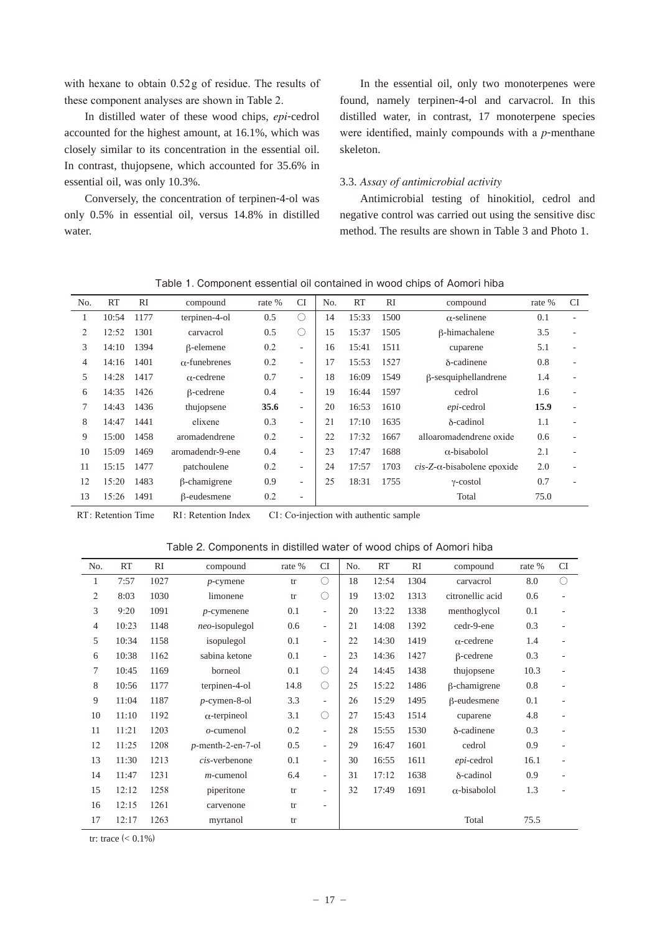with hexane to obtain 0.52g of residue. The results of these component analyses are shown in Table 2.

In distilled water of these wood chips, *epi*-cedrol accounted for the highest amount, at 16.1%, which was closely similar to its concentration in the essential oil. In contrast, thujopsene, which accounted for 35.6% in essential oil, was only 10.3%.

Conversely, the concentration of terpinen-4-ol was only 0.5% in essential oil, versus 14.8% in distilled water.

In the essential oil, only two monoterpenes were found, namely terpinen-4-ol and carvacrol. In this distilled water, in contrast, 17 monoterpene species were identified, mainly compounds with a *p*-menthane skeleton.

#### 3.3. *Assay of antimicrobial activity*

Antimicrobial testing of hinokitiol, cedrol and negative control was carried out using the sensitive disc method. The results are shown in Table 3 and Photo 1.

| N <sub>o</sub> | RT    | <b>RI</b> | compound             | rate % | CI                       | N <sub>o</sub> | <b>RT</b> | RI   | compound                               | rate % | <b>CI</b> |
|----------------|-------|-----------|----------------------|--------|--------------------------|----------------|-----------|------|----------------------------------------|--------|-----------|
| 1              | 10:54 | 1177      | terpinen-4-ol        | 0.5    | $\bigcirc$               | 14             | 15:33     | 1500 | $\alpha$ -selinene                     | 0.1    |           |
| 2              | 12:52 | 1301      | carvacrol            | 0.5    | $\left(\right)$          | 15             | 15:37     | 1505 | β-himachalene                          | 3.5    |           |
| 3              | 14:10 | 1394      | $\beta$ -elemene     | 0.2    | $\overline{\phantom{a}}$ | 16             | 15:41     | 1511 | cuparene                               | 5.1    |           |
| 4              | 14:16 | 1401      | $\alpha$ -funebrenes | 0.2    | $\overline{\phantom{a}}$ | 17             | 15:53     | 1527 | $\delta$ -cadinene                     | 0.8    |           |
| 5              | 14:28 | 1417      | $\alpha$ -cedrene    | 0.7    | $\overline{\phantom{a}}$ | 18             | 16:09     | 1549 | $\beta$ -sesquiphellandrene            | 1.4    |           |
| 6              | 14:35 | 1426      | $\beta$ -cedrene     | 0.4    | ٠                        | 19             | 16:44     | 1597 | cedrol                                 | 1.6    |           |
| 7              | 14:43 | 1436      | thujopsene           | 35.6   | ٠                        | 20             | 16:53     | 1610 | epi-cedrol                             | 15.9   |           |
| 8              | 14:47 | 1441      | elixene              | 0.3    | $\overline{\phantom{a}}$ | 21             | 17:10     | 1635 | $\delta$ -cadinol                      | 1.1    |           |
| 9              | 15:00 | 1458      | aromadendrene        | 0.2    | ٠                        | 22             | 17:32     | 1667 | alloaromadendrene oxide                | 0.6    |           |
| 10             | 15:09 | 1469      | aromadendr-9-ene     | 0.4    | $\overline{\phantom{a}}$ | 23             | 17:47     | 1688 | $\alpha$ -bisabolol                    | 2.1    |           |
| 11             | 15:15 | 1477      | patchoulene          | 0.2    | ٠                        | 24             | 17:57     | 1703 | $cis$ -Z- $\alpha$ -bisabolene epoxide | 2.0    |           |
| 12             | 15:20 | 1483      | $\beta$ -chamigrene  | 0.9    | ٠                        | 25             | 18:31     | 1755 | $\gamma$ -costol                       | 0.7    |           |
| 13             | 15:26 | 1491      | $\beta$ -eudesmene   | 0.2    | $\overline{\phantom{a}}$ |                |           |      | Total                                  | 75.0   |           |

Table 1. Component essential oil contained in wood chips of Aomori hiba

L

RT: Retention Time RI: Retention Index CI: Co-injection with authentic sample

Table 2. Components in distilled water of wood chips of Aomori hiba

| No.            | RT    | RI   | compound             | rate % | <b>CI</b>                | No. | RT    | RI   | compound            | rate % | <b>CI</b>      |
|----------------|-------|------|----------------------|--------|--------------------------|-----|-------|------|---------------------|--------|----------------|
| $\mathbf{1}$   | 7:57  | 1027 | $p$ -cymene          | tr     | $\bigcirc$               | 18  | 12:54 | 1304 | carvacrol           | 8.0    | ∩              |
| 2              | 8:03  | 1030 | limonene             | tr     | О                        | 19  | 13:02 | 1313 | citronellic acid    | 0.6    | ÷,             |
| 3              | 9:20  | 1091 | $p$ -cymenene        | 0.1    | $\overline{\phantom{a}}$ | 20  | 13:22 | 1338 | menthoglycol        | 0.1    | $\overline{a}$ |
| $\overline{4}$ | 10:23 | 1148 | $neo$ -isopulegol    | 0.6    | $\overline{\phantom{a}}$ | 21  | 14:08 | 1392 | cedr-9-ene          | 0.3    | $\overline{a}$ |
| 5              | 10:34 | 1158 | isopulegol           | 0.1    | $\overline{\phantom{a}}$ | 22  | 14:30 | 1419 | $\alpha$ -cedrene   | 1.4    | ٠              |
| 6              | 10:38 | 1162 | sabina ketone        | 0.1    | $\overline{\phantom{a}}$ | 23  | 14:36 | 1427 | $\beta$ -cedrene    | 0.3    | ÷,             |
| 7              | 10:45 | 1169 | borneol              | 0.1    | О                        | 24  | 14:45 | 1438 | thujopsene          | 10.3   | ÷,             |
| 8              | 10:56 | 1177 | terpinen-4-ol        | 14.8   | $\bigcirc$               | 25  | 15:22 | 1486 | $\beta$ -chamigrene | 0.8    | ٠              |
| 9              | 11:04 | 1187 | $p$ -cymen-8-ol      | 3.3    | $\overline{\phantom{a}}$ | 26  | 15:29 | 1495 | $\beta$ -eudesmene  | 0.1    | ٠              |
| 10             | 11:10 | 1192 | $\alpha$ -terpineol  | 3.1    | О                        | 27  | 15:43 | 1514 | cuparene            | 4.8    | ٠              |
| 11             | 11:21 | 1203 | $o$ -cumenol         | 0.2    | $\overline{\phantom{a}}$ | 28  | 15:55 | 1530 | δ-cadinene          | 0.3    | ٠              |
| 12             | 11:25 | 1208 | $p$ -menth-2-en-7-ol | 0.5    | $\overline{\phantom{a}}$ | 29  | 16:47 | 1601 | cedrol              | 0.9    | ٠              |
| 13             | 11:30 | 1213 | cis-verbenone        | 0.1    | $\overline{\phantom{a}}$ | 30  | 16:55 | 1611 | epi-cedrol          | 16.1   | ٠              |
| 14             | 11:47 | 1231 | $m$ -cumenol         | 6.4    | $\overline{\phantom{a}}$ | 31  | 17:12 | 1638 | δ-cadinol           | 0.9    |                |
| 15             | 12:12 | 1258 | piperitone           | tr     | $\overline{\phantom{a}}$ | 32  | 17:49 | 1691 | $\alpha$ -bisabolol | 1.3    |                |
| 16             | 12:15 | 1261 | carvenone            | tr     | $\overline{\phantom{a}}$ |     |       |      |                     |        |                |
| 17             | 12:17 | 1263 | myrtanol             | tr     |                          |     |       |      | Total               | 75.5   |                |

tr: trace  $(< 0.1\%)$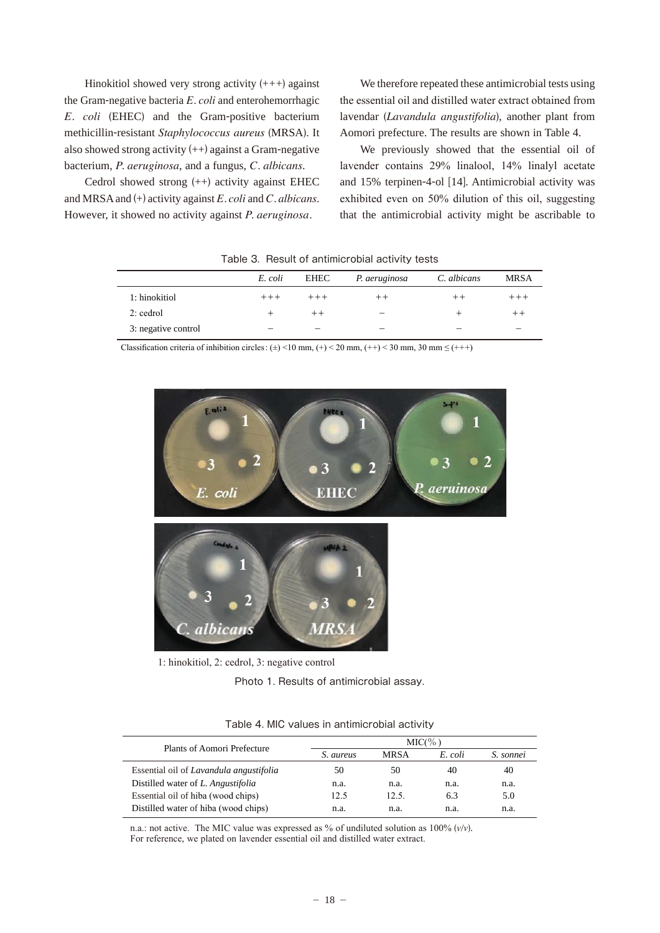Hinokitiol showed very strong activity  $(++)$  against the Gram-negative bacteria *E. coli* and enterohemorrhagic *E. coli* (EHEC) and the Gram-positive bacterium methicillin-resistant *Staphylococcus aureus* (MRSA). It also showed strong activity  $(++)$  against a Gram-negative bacterium, *P. aeruginosa*, and a fungus, *C. albicans*.

Cedrol showed strong (++) activity against EHEC and MRSA and (+) activity against *E. coli* and *C. albicans*. However, it showed no activity against *P. aeruginosa.*

We therefore repeated these antimicrobial tests using the essential oil and distilled water extract obtained from lavendar (*Lavandula angustifolia*), another plant from Aomori prefecture. The results are shown in Table 4.

We previously showed that the essential oil of lavender contains 29% linalool, 14% linalyl acetate and 15% terpinen-4-ol [14]. Antimicrobial activity was exhibited even on  $50\%$  dilution of this oil, suggesting that the antimicrobial activity might be ascribable to

|                     | E. coli | EHEC  | P. aeruginosa | C. albicans | <b>MRSA</b> |
|---------------------|---------|-------|---------------|-------------|-------------|
| 1: hinokitiol       |         |       |               |             |             |
| $2$ : cedrol        |         | $+ +$ | -             |             |             |
| 3: negative control |         |       | –             |             | –           |

Table 3. Result of antimicrobial activity tests

Classification criteria of inhibition circles:  $(\pm)$  <10 mm,  $(+)$  < 20 mm,  $(+)$  < 30 mm, 30 mm  $\leq$   $(++)$ 



 $\lambda$ : hinokitiol, 2: cedrol, 3: negative control

Photo 1. Results of antimicrobial assay.

| Plants of Aomori Prefecture             | MIC(% )   |             |         |           |  |  |
|-----------------------------------------|-----------|-------------|---------|-----------|--|--|
|                                         | S. aureus | <b>MRSA</b> | E. coli | S. sonnei |  |  |
| Essential oil of Lavandula angustifolia | 50        | 50          | 40      | 40        |  |  |
| Distilled water of L. Angustifolia      | n.a.      | n.a.        | n.a.    | n.a.      |  |  |
| Essential oil of hiba (wood chips)      | 12.5      | 12.5.       | 6.3     | 5.0       |  |  |
| Distilled water of hiba (wood chips)    | n.a.      | n.a.        | n.a.    | n.a.      |  |  |

Table 4. MIC values in antimicrobial activity

n.a.: not active. The MIC value was expressed as % of undiluted solution as  $100\%$  ( $v/v$ ). For reference, we plated on lavender essential oil and distilled water extract.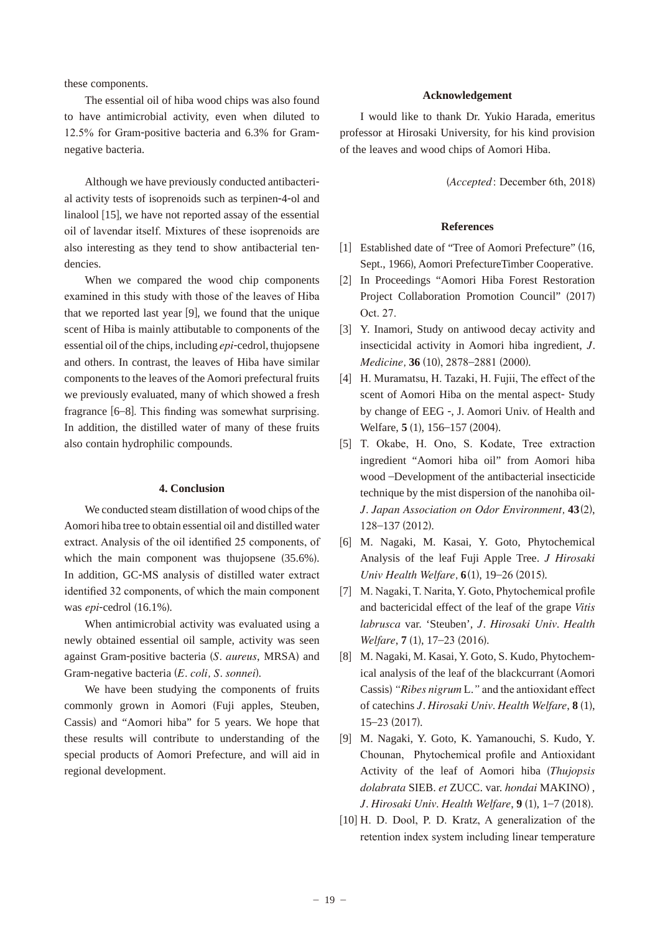these components.

The essential oil of hiba wood chips was also found to have antimicrobial activity, even when diluted to 12.5% for Gram-positive bacteria and 6.3% for Gramnegative bacteria.

Although we have previously conducted antibacterial activity tests of isoprenoids such as terpinen-4-ol and linalool [15], we have not reported assay of the essential oil of lavendar itself. Mixtures of these isoprenoids are also interesting as they tend to show antibacterial tendencies.

When we compared the wood chip components examined in this study with those of the leaves of Hiba that we reported last year [9], we found that the unique scent of Hiba is mainly attibutable to components of the essential oil of the chips, including *epi*-cedrol, thujopsene and others. In contrast, the leaves of Hiba have similar components to the leaves of the Aomori prefectural fruits we previously evaluated, many of which showed a fresh fragrance  $[6-8]$ . This finding was somewhat surprising. In addition, the distilled water of many of these fruits also contain hydrophilic compounds.

#### **4. Conclusion**

We conducted steam distillation of wood chips of the Aomori hiba tree to obtain essential oil and distilled water extract. Analysis of the oil identified 25 components, of which the main component was thujopsene  $(35.6\%)$ . In addition, GC-MS analysis of distilled water extract identified 32 components, of which the main component was *epi*-cedrol (16.1%).

When antimicrobial activity was evaluated using a newly obtained essential oil sample, activity was seen against Gram-positive bacteria (*S. aureus*, MRSA) and Gram-negative bacteria (*E. coli, S. sonnei*).

We have been studying the components of fruits commonly grown in Aomori (Fuji apples, Steuben, Cassis) and "Aomori hiba" for 5 years. We hope that these results will contribute to understanding of the special products of Aomori Prefecture, and will aid in regional development.

### **Acknowledgement**

I would like to thank Dr. Yukio Harada, emeritus professor at Hirosaki University, for his kind provision of the leaves and wood chips of Aomori Hiba.

(*Accepted*: December 6th, 2018)

#### **References**

- [1] Established date of "Tree of Aomori Prefecture" (16, Sept., 1966), Aomori PrefectureTimber Cooperative.
- [] In Proceedings "Aomori Hiba Forest Restoration Project Collaboration Promotion Council" (2017) Oct. 27.
- [3] Y. Inamori, Study on antiwood decay activity and insecticidal activity in Aomori hiba ingredient, *J. Medicine*, 36 (10), 2878-2881 (2000).
- [4] H. Muramatsu, H. Tazaki, H. Fujii, The effect of the scent of Aomori Hiba on the mental aspect- Study by change of EEG -, J. Aomori Univ. of Health and Welfare, **5** (1), 156–157 (2004).
- [5] T. Okabe, H. Ono, S. Kodate, Tree extraction ingredient "Aomori hiba oil" from Aomori hiba wood –Development of the antibacterial insecticide technique by the mist dispersion of the nanohiba oil-*J. Japan Association on Odor Environment,* 43(2), 128-137 (2012).
- [6] M. Nagaki, M. Kasai, Y. Goto, Phytochemical Analysis of the leaf Fuji Apple Tree. *J Hirosaki Univ Health Welfare*, **6**(1), 19–26 (2015).
- [7] M. Nagaki, T. Narita, Y. Goto, Phytochemical profile and bactericidal effect of the leaf of the grape *Vitis labrusca* var. 'Steuben', *J. Hirosaki Univ. Health Welfare*, **7** (1), 17–23 (2016).
- [8] M. Nagaki, M. Kasai, Y. Goto, S. Kudo, Phytochemical analysis of the leaf of the blackcurrant (Aomori Cassis) "Ribes nigrum L." and the antioxidant effect of catechins *J. Hirosaki Univ. Health Welfare*, **8** (1),  $15-23(2017).$
- [9] M. Nagaki, Y. Goto, K. Yamanouchi, S. Kudo, Y. Chounan, Phytochemical profile and Antioxidant Activity of the leaf of Aomori hiba (*Thujopsis dolabrata* SIEB. *et* ZUCC. var. *hondai* MAKINO) , *J. Hirosaki Univ. Health Welfare*, 9(1), 1-7(2018).
- $[10]$  H. D. Dool, P. D. Kratz, A generalization of the retention index system including linear temperature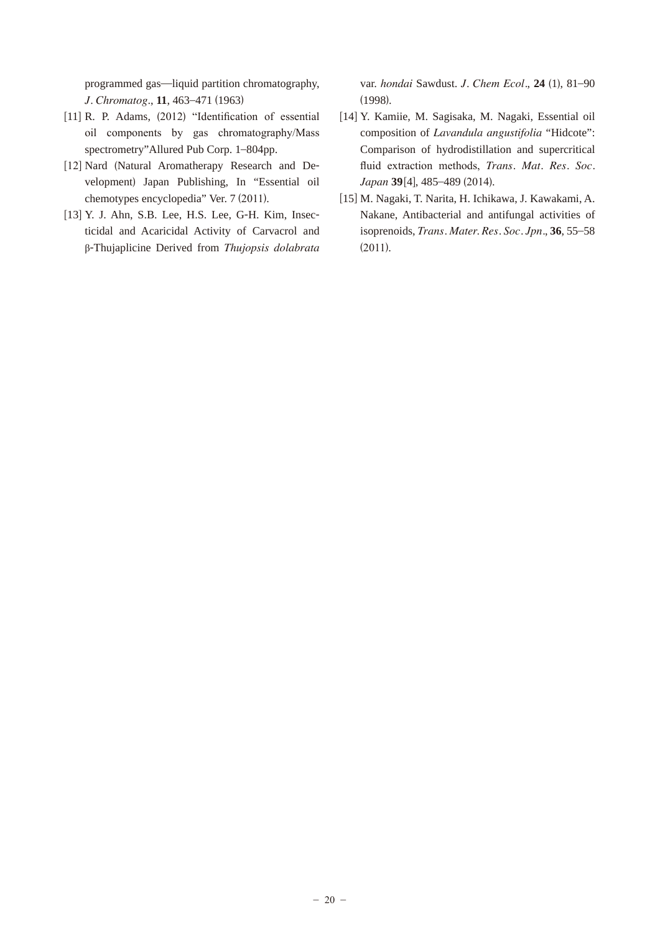programmed gas—liquid partition chromatography, *J. Chromatog*., **11**, 463–471 (1963)

- [11] R. P. Adams,  $(2012)$  "Identification of essential oil components by gas chromatography/Mass spectrometry"Allured Pub Corp. 1–804pp.
- [12] Nard (Natural Aromatherapy Research and Development) Japan Publishing, In "Essential oil chemotypes encyclopedia" Ver. 7 (2011).
- [13] Y. J. Ahn, S.B. Lee, H.S. Lee, G-H. Kim, Insecticidal and Acaricidal Activity of Carvacrol and ȕ-Thujaplicine Derived from *Thujopsis dolabrata*

var. *hondai* Sawdust. *J. Chem Ecol.*, **24** (1), 81–90 (1998).

- [14] Y. Kamiie, M. Sagisaka, M. Nagaki, Essential oil composition of *Lavandula angustifolia* "Hidcote": Comparison of hydrodistillation and supercritical fluid extraction methods, *Trans. Mat. Res. Soc. Japan* 39[4], 485-489 (2014).
- [15] M. Nagaki, T. Narita, H. Ichikawa, J. Kawakami, A. Nakane, Antibacterial and antifungal activities of isoprenoids, *Trans. Mater. Res. Soc. Jpn.*, **36**, 55–58  $(2011).$